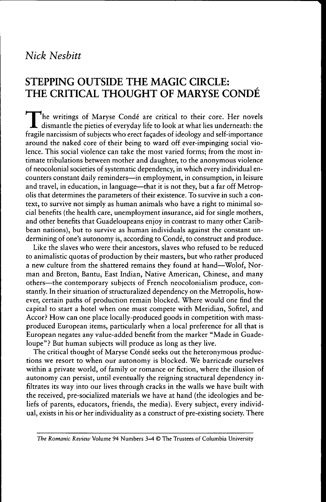# *Nick Nesbitt*

## STEPPING OUTSIDE THE MAGIC CIRCLE: THE CRITICAL THOUGHT OF MARYSE CONDE

 $\prod_{\text{fragil}}$ he writings of Maryse Conde are critical to their core. Her novels dismantle the pieties of everyday life to look at what lies underneath: the fragile narcissism of subjects who erect facades of ideology and self-importance around the naked core of their being to ward off ever-impinging social violence. This social violence can take the most varied forms; from the most intimate tribulations between mother and daughter, to the anonymous violence of neocolonial societies of systematic dependency, in which every individual encounters constant daily reminders—in employment, in consumption, in leisure and travel, in education, in language—that it is not they, but a far off Metropolis that determines the parameters of their existence. To survive in such a context, to survive not simply as human animals who have a right to minimal social benefits (the health care, unemployment insurance, aid for single mothers, and other benefits that Guadeloupeans enjoy in contrast to many other Caribbean nations), but to survive as human individuals against the constant undermining of one's autonomy is, according to Condé, to construct and produce.

Like the slaves who were their ancestors, slaves who refused to be reduced to animalistic quotas of production by their masters, but who rather produced a new culture from the shattered remains they found at hand—Wolof, Norman and Breton, Bantu, East Indian, Native American, Chinese, and many others—the contemporary subjects of French neocolonialism produce, constantly. In their situation of structuralized dependency on the Metropolis, however, certain paths of production remain blocked. Where would one find the capital to start a hotel when one must compete with Meridian, Sofitel, and Accor? How can one place locally-produced goods in competition with massproduced European items, particularly when a local preference for all that is European negates any value-added benefit from the marker "Made in Guadeloupe"? But human subjects will produce as long as they live.

The critical thought of Maryse Conde seeks out the heteronymous productions we resort to when our autonomy is blocked. We barricade ourselves within a private world, of family or romance or fiction, where the illusion of autonomy can persist, until eventually the reigning structural dependency infiltrates its way into our lives through cracks in the walls we have built with the received, pre-socialized materials we have at hand (the ideologies and beliefs of parents, educators, friends, the media). Every subject, every individual, exists in his or her individuality as a construct of pre-existing society. There

*The Romanic Review* Volume 94 Numbers 3-4 © The Trustees of Columbia University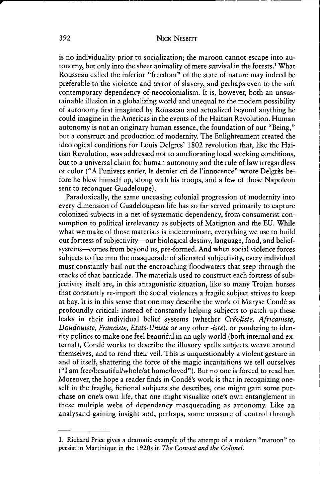is no individuality prior to socialization; the maroon cannot escape into autonomy, but only into the sheer animality of mere survival in the forests.<sup>1</sup> What Rousseau called the inferior "freedom" of the state of nature may indeed be preferable to the violence and terror of slavery, and perhaps even to the soft contemporary dependency of neocolonialism. It is, however, both an unsustainable illusion in a globalizing world and unequal to the modern possibility of autonomy first imagined by Rousseau and actualized beyond anything he could imagine in the Americas in the events of the Haitian Revolution. Human autonomy is not an originary human essence, the foundation of our "Being," but a construct and production of modernity. The Enlightenment created the ideological conditions for Louis Delgres' 1802 revolution that, like the Haitian Revolution, was addressed not to ameliorating local working conditions, but to a universal claim for human autonomy and the rule of law irregardless of color ("A l'univers entier, le dernier cri de l'innocence" wrote Delgrès before he blew himself up, along with his troops, and a few of those Napoleon sent to reconquer Guadeloupe).

Paradoxically, the same unceasing colonial progression of modernity into every dimension of Guadeloupean life has so far served primarily to capture colonized subjects in a net of systematic dependency, from consumerist consumption to political irrelevancy as subjects of Matignon and the EU. While what we make of those materials is indeterminate, everything we use to build our fortress of subjectivity—our biological destiny, language, food, and beliefsystems—comes from beyond us, pre-formed. And when social violence forces subjects to flee into the masquerade of alienated subjectivity, every individual must constantly bail out the encroaching floodwaters that seep through the cracks of that barricade. The materials used to construct each fortress of subjectivity itself are, in this antagonistic situation, like so many Trojan horses that constantly re-import the social violences a fragile subject strives to keep at bay. It is in this sense that one may describe the work of Maryse Conde as profoundly critical: instead of constantly helping subjects to patch up these leaks in their individual belief systems (whether *Creoliste, Africaniste, Doudouiste, Franciste, Etats-Uniste* or any other *-iste),* or pandering to identity politics to make one feel beautiful in an ugly world (both internal and external), Condé works to describe the illusory spells subjects weave around themselves, and to rend their veil. This is unquestionably a violent gesture in and of itself, shattering the force of the magic incantations we tell ourselves ("I am free/beautiful/whole/at home/loved"). But no one is forced to read her. Moreover, the hope a reader finds in Conde's work is that in recognizing oneself in the fragile, fictional subjects she describes, one might gain some purchase on one's own life, that one might visualize one's own entanglement in these multiple webs of dependency masquerading as autonomy. Like an analysand gaining insight and, perhaps, some measure of control through

<sup>1.</sup> Richard Price gives a dramatic example of the attempt of a modern "maroon" to persist in Martinique in the 1920s in *The Convict and the Colonel.*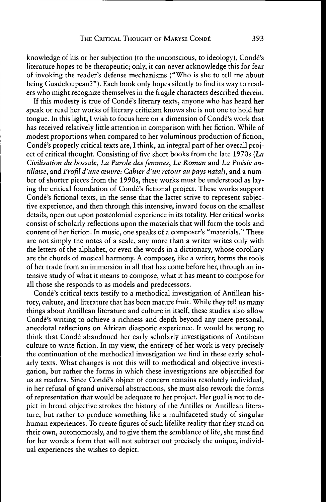knowledge of his or her subjection (to the unconscious, to ideology), Conde's literature hopes to be therapeutic; only, it can never acknowledge this for fear of invoking the reader's defense mechanisms ("Who is she to tell me about being Guadeloupean?"). Each book only hopes silently to find its way to readers who might recognize themselves in the fragile characters described therein.

If this modesty is true of Conde's literary texts, anyone who has heard her speak or read her works of literary criticism knows she is not one to hold her tongue. In this light, I wish to focus here on a dimension of Conde's work that has received relatively little attention in comparison with her fiction. While of modest proportions when compared to her voluminous production of fiction, Conde's properly critical texts are, I think, an integral part of her overall project of critical thought. Consisting of five short books from the late 1970s *{La Civilisation du bossale. La Parole des femmes, Le Roman* and *La Poesie antillaise,* and *Frofil d'une ceuvre: Cahier d'un retour au pays natal),* and a number of shorter pieces from the 1990s, these works must be understood as laying the critical foundation of Conde's fictional project. These works support Conde's fictional texts, in the sense that the latter strive to represent subjective experience, and then through this intensive, inward focus on the smallest details, open out upon postcolonial experience in its totality. Her critical works consist of scholarly reflections upon the materials that will form the tools and content of her fiction. In music, one speaks of a composer's "materials." These are not simply the notes of a scale, any more than a writer writes only with the letters of the alphabet, or even the words in a dictionary, whose corollary are the chords of musical harmony. A composer, like a writer, forms the tools of her trade from an immersion in all that has come before her, through an intensive study of what it means to compose, what it has meant to compose for all those she responds to as models and predecessors.

Conde's critical texts testify to a methodical investigation of Antillean history, culture, and literature that has born mature fruit. While they tell us many things about Antillean literature and culture in itself, these studies also allow Conde's writing to achieve a richness and depth beyond any mere personal, anecdotal reflections on African diasporic experience. It would be wrong to think that Conde abandoned her early scholarly investigations of Antillean culture to write fiction. In my view, the entirety of her work is very precisely the continuation of the methodical investigation we find in these early scholarly texts. What changes is not this will to methodical and objective investigation, but rather the forms in which these investigations are objectified for us as readers. Since Conde's object of concern remains resolutely individual, in her refusal of grand universal abstractions, she must also rework the forms of representation that would be adequate to her project. Her goal is not to depict in broad objective strokes the history of the Antilles or Antillean literature, but rather to produce something like a multifaceted study of singular human experiences. To create figures of such lifelike reality that they stand on their own, autonomously, and to give them the semblance of life, she must find for her words a form that will not subtract out precisely the unique, individual experiences she wishes to depict.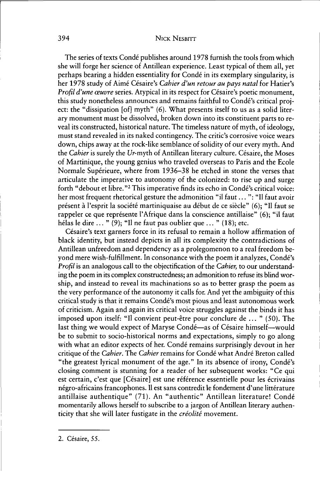#### 394 NICK NESBITT

The series of texts Condé publishes around 1978 furnish the tools from which she will forge her science of Antillean experience. Least typical of them all, yet perhaps bearing a hidden essentiality for Conde in its exemplary singularity, is her 1978 study of Aime Cesaire's *Cahier d'un retour au pays natal* for Hatier's *Profil d'une œuvre* series. Atypical in its respect for Césaire's poetic monument, this study nonetheless announces and remains faithful to Conde's critical project: the "dissipation [of] myth" (6). What presents itself to us as a solid literary monument must be dissolved, broken down into its constituent parts to reveal its constructed, historical nature. The timeless nature of myth, of ideology, must stand revealed in its naked contingency. The critic's corrosive voice wears down, chips away at the rock-like semblance of solidity of our every myth. And the *Cahier* is surely the Ur-myth of Antillean literary culture. Césaire, the Moses of Martinique, the young genius who traveled overseas to Paris and the Ecole Normale Supérieure, where from 1936-38 he etched in stone the verses that articulate the imperative to autonomy of the colonized: to rise up and surge forth "debout et libre."<sup>2</sup> This imperative finds its echo in Condé's critical voice: her most frequent rhetorical gesture the admonition "il faut...": "Il faut avoir présent à l'esprit la société martiniquaise au début de ce siècle" (6); "Il faut se rappeler ce que represente l'Afrique dans la conscience antillaise" (6); "il faut hélas le dire  $\ldots$  " (9); "Il ne faut pas oublier que  $\ldots$  " (18); etc.

Césaire's text garners force in its refusal to remain a hollow affirmation of black identity, but instead depicts in all its complexity the contradictions of Antillean unfreedom and dependency as a prolegomenon to a real freedom beyond mere wish-fulfillment. In consonance with the poem it analyzes, Conde's *Vrofil* is an analogous call to the objectification of the *Cahier,* to our understanding the poem in its complex constructedness; an admonition to refuse its blind worship, and instead to reveal its machinations so as to better grasp the poem as the very performance of the autonomy it calls for. And yet the ambiguity of this critical study is that it remains Conde's most pious and least autonomous work of criticism. Again and again its critical voice struggles against the binds it has imposed upon itself: "II convient peut-etre pour conclure de ... " (50). The last thing we would expect of Maryse Condé—as of Césaire himself—would be to submit to socio-historical norms and expectations, simply to go along with what an editor expects of her. Condé remains surprisingly devout in her critique of the *Cahier.* The *Cahier* remains for Conde what Andre Breton called "the greatest lyrical monument of the age." In its absence of irony, Conde's closing comment is stunning for a reader of her subsequent works: "Ce qui est certain, c'est que [Césaire] est une référence essentielle pour les écrivains négro-africains francophones. Il est sans contredit le fondement d'une littérature antillaise authentique" (71). An "authentic" Antillean literature! Conde momentarily allows herself to subscribe to a jargon of Antillean literary authenticity that she will later fustigate in the *creolite* movement.

2. Césaire, 55.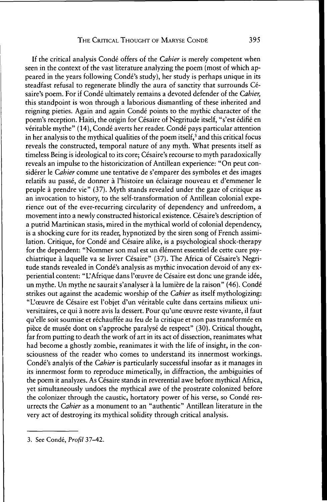If the critical analysis Conde offers of the *Cahier* is merely competent when seen in the context of the vast literature analyzing the poem (most of which appeared in the years following Conde's study), her study is perhaps unique in its steadfast refusal to regenerate blindly the aura of sanctity that surrounds Cesaire's poem. For if Conde ultimately remains a devoted defender of the *Cahier,* this standpoint is won through a laborious dismantling of these inherited and reigning pieties. Again and again Conde points to the mythic character of the poem's reception. Haiti, the origin for Césaire of Negritude itself, "s'est édifié en véritable mythe" (14), Condé averts her reader. Condé pays particular attention in her analysis to the mythical qualities of the poem itself, $3$  and this critical focus reveals the constructed, temporal nature of any myth. What presents itself as timeless Being is ideological to its core; Césaire's recourse to myth paradoxically reveals an impulse to the historicization of Antillean experience: "On peut considerer le *Cahier* comme une tentative de s'emparer des symboles et des images relatifs au passé, de donner à l'histoire un éclairage nouveau et d'emmener le peuple a prendre vie" (37). Myth stands revealed under the gaze of critique as an invocation to history, to the self-transformation of Antillean colonial experience out of the ever-recurring circularity of dependency and unfreedom, a movement into a newly constructed historical existence. Césaire's description of a putrid Martinican stasis, mired in the mythical world of colonial dependency, is a shocking cure for its reader, hypnotized by the siren song of French assimilation. Critique, for Condé and Césaire alike, is a psychological shock-therapy for the dependent: "Nommer son mal est un élément essentiel de cette cure psychiatrique à laquelle va se livrer Césaire" (37). The Africa of Césaire's Negritude stands revealed in Conde's analysis as mythic invocation devoid of any experiential content: "L'Afrique dans l'œuvre de Césaire est donc une grande idée, un mythe. Un mythe ne saurait s'analyser a la lumiere de la raison" (46). Conde strikes out against the academic worship of the *Cahier* as itself mythologizing: "L'œuvre de Césaire est l'objet d'un véritable culte dans certains milieux universitaires, ce qui à notre avis la dessert. Pour qu'une œuvre reste vivante, il faut qu'elle soit soumise et réchauffée au feu de la critique et non pas transformée en pièce de musée dont on s'approche paralysé de respect" (30). Critical thought, far from putting to death the work of art in its act of dissection, reanimates what had become a ghostly zombie, reanimates it with the life of insight, in the consciousness of the reader who comes to understand its innermost workings. Conde's analyis of the *Cahier* is particularly successful insofar as it manages in its innermost form to reproduce mimetically, in diffraction, the ambiguities of the poem it analyzes. As Césaire stands in reverential awe before mythical Africa, yet simultaneously undoes the mythical awe of the prostrate colonized before the colonizer through the caustic, hortatory power of his verse, so Conde resurrects the *Cahier* as a monument to an "authentic" Antillean literature in the very act of destroying its mythical solidity through critical analysis.

<sup>3.</sup> See Conde, *Proftl* 37-42.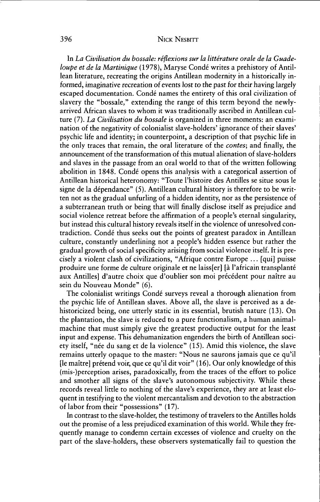#### 396 NICK NESBITT

In *La Civilisation du bossale: reflexions sur la litterature orale de la Guadeloupe et de la Martinique* (1978), Maryse Conde writes a prehistory of Antillean literature, recreating the origins Antillean modernity in a historically informed, imaginative recreation of events lost to the past for their having largely escaped documentation. Conde names the entirety of this oral civilization of slavery the "bossale," extending the range of this term beyond the newlyarrived African slaves to whom it was traditionally ascribed in Antillean culture (7). *La Civilisation du bossale* is organized in three moments: an examination of the negativity of colonialist slave-holders' ignorance of their slaves' psychic life and identity; in counterpoint, a description of that psychic life in the only traces that remain, the oral literature of the *contes;* and finally, the announcement of the transformation of this mutual alienation of slave-holders and slaves in the passage from an oral world to that of the written following abolition in 1848. Conde opens this analysis with a categorical assertion of Antillean historical heteronomy: "Toute l'histoire des Antilles se situe sous le signe de la dépendance" (5). Antillean cultural history is therefore to be written not as the gradual unfurling of a hidden identity, nor as the persistence of a subterranean truth or being that will finally disclose itself as prejudice and social violence retreat before the affirmation of a people's eternal singularity, but instead this cultural history reveals itself in the violence of unresolved contradiction. Conde thus seeks out the points of greatest paradox in Antillean culture, constantly underlining not a people's hidden essence but rather the gradual growth of social specificity arising from social violence itself. It is precisely a violent clash of civilizations, "Afrique contre Europe ... [qui] puisse produire une forme de culture originale et ne laiss[er] [à l'africain transplanté aux Antilles] d'autre choix que d'oublier son moi precedent pour naitre au sein du Nouveau Monde" (6).

The colonialist writings Condé surveys reveal a thorough alienation from the psychic life of Antillean slaves. Above all, the slave is perceived as a dehistoricized being, one utterly static in its essential, brutish nature (13). On the plantation, the slave is reduced to a pure functionalism, a human animalmachine that must simply give the greatest productive output for the least input and expense. This dehumanization engenders the birth of Antillean society itself, "née du sang et de la violence" (15). Amid this violence, the slave remains utterly opaque to the master: "Nous ne saurons jamais que ce qu'il [le maitre] pretend voir, que ce qu'il dit voir" (16). Our only knowledge of this (mis-)perception arises, paradoxically, from the traces of the effort to police and smother all signs of the slave's autonomous subjectivity. While these records reveal little to nothing of the slave's experience, they are at least eloquent in testifying to the violent mercantalism and devotion to the abstraction of labor from their "possessions" (17).

In contrast to the slave-holder, the testimony of travelers to the Antilles holds out the promise of a less prejudiced examination of this world. While they frequently manage to condemn certain excesses of violence and cruelty on the part of the slave-holders, these observers systematically fail to question the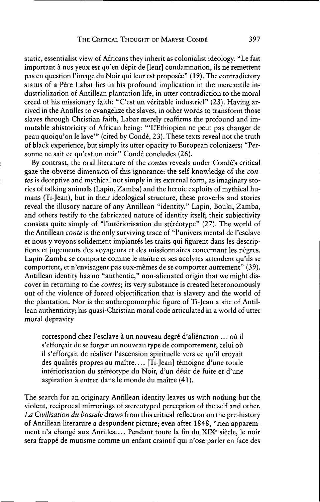static, essentialist view of Africans they inherit as coloniahst ideology. "Le fait important à nos yeux est qu'en dépit de [leur] condamnation, ils ne remettent pas en question l'image du Noir qui leur est proposee" (19). The contradictory status of a Pere Labat lies in his profound implication in the mercantile industrialization of Antillean plantation life, in utter contradiction to the moral creed of his missionary faith: "C'est un véritable industriel" (23). Having arrived in the Antilles to evangelize the slaves, in other words to transform those slaves through Christian faith, Labat merely reaffirms the profound and immutable ahistoricity of African being: "'L'Ethiopien ne peut pas changer de peau quoiqu'on le lave'" (cited by Conde, 23). These texts reveal not the truth of black experience, but simply its utter opacity to European colonizers: "Personne ne sait ce qu'est un noir" Condé concludes (26).

By contrast, the oral literature of the *contes* reveals under Conde's critical gaze the obverse dimension of this ignorance: the self-knowledge of the *contes* is deceptive and mythical not simply in its external form, as imaginary stories of talking animals (Lapin, Zamba) and the heroic exploits of mythical humans (Ti-Jean), but in their ideological structure, these proverbs and stories reveal the illusory nature of any Antillean "identity." Lapin, Bouki, Zamba, and others testify to the fabricated nature of identity itself; their subjectivity consists quite simply of "l'interiorisation du stereotype" (27). The world of the Antillean *conte* is the only surviving trace of "l'univers mental de l'esclave et nous y voyons solidement implantes les traits qui figurent dans les descriptions et jugements des voyageurs et des missionnaires concernant les nègres. Lapin-Zamba se comporte comme le maitre et ses acolytes attendent qu'ils se comportent, et n'envisagent pas eux-mêmes de se comporter autrement" (39). Antillean identity has no "authentic," non-alienated origin that we might discover in returning to the *contes;* its very substance is created heteronomously out of the violence of forced objectification that is slavery and the world of the plantation. Nor is the anthropomorphic figure of Ti-Jean a site of Antillean authenticity; his quasi-Christian moral code articulated in a world of utter moral depravity

correspond chez l'esclave à un nouveau degré d'aliénation ... où il s'efforçait de se forger un nouveau type de comportement, celui où il s'efforçait de réaliser l'ascension spirituelle vers ce qu'il croyait des qualités propres au maître.... [Ti-Jean] témoigne d'une totale intériorisation du stéréotype du Noir, d'un désir de fuite et d'une aspiration a entrer dans le monde du maitre (41).

The search for an originary Antillean identity leaves us with nothing but the violent, reciprocal mirrorings of stereotyped perception of the self and other. *La Civilisation du bossale* draws from this critical reflection on the pre-history of Antillean literature a despondent picture; even after 1848, "rien apparemment n'a changé aux Antilles.... Pendant toute la fin du XIX<sup>e</sup> siècle, le noir sera frappé de mutisme comme un enfant craintif qui n'ose parler en face des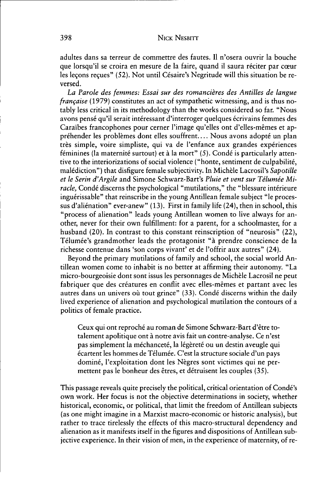adultes dans sa terreur de commettre des fautes. Il n'osera ouvrir la bouche que lorsqu'il se croira en mesure de la faire, quand il saura réciter par cœur les leçons reçues" (52). Not until Césaire's Negritude will this situation be reversed.

La Parole des femmes: Essai sur des romancières des Antilles de langue *française* (1979) constitutes an act of sympathetic witnessing, and is thus notably less critical in its methodology than the works considered so far. "Nous avons pensé qu'il serait intéressant d'interroger quelques écrivains femmes des Caraïbes francophones pour cerner l'image qu'elles ont d'elles-mêmes et appréhender les problèmes dont elles souffrent.... Nous avons adopté un plan très simple, voire simpliste, qui va de l'enfance aux grandes expériences féminines (la maternité surtout) et à la mort" (5). Condé is particularly attentive to the interiorizations of social violence ("honte, sentiment de culpabilite, malediction") that disfigure female subjectivity. In Michele Lacrosil's *Sapotille et le Serin d'Argile* and Simone Schwarz-Bart's *Fluie et vent sur Telumee Miracle*, Condé discerns the psychological "mutilations," the "blessure intérieure inguérissable" that reinscribe in the young Antillean female subject "le processus d'alienation" ever-anew" (13). First in family life (24), then in school, this "process of alienation" leads young Antillean women to live always for another, never for their own fulfillment: for a parent, for a schoolmaster, for a husband (20). In contrast to this constant reinscription of "neurosis" (22), Télumée's grandmother leads the protagonist "à prendre conscience de la richesse contenue dans 'son corps vivant' et de l'offrir aux autres" (24).

Beyond the primary mutilations of family and school, the social world Antillean women come to inhabit is no better at affirming their autonomy. "La micro-bourgeoisie dont sont issus les personnages de Michele Lacrosil ne peut fabriquer que des créatures en conflit avec elles-mêmes et partant avec les autres dans un univers où tout grince" (33). Condé discerns within the daily lived experience of alienation and psychological mutilation the contours of a politics of female practice.

Ceux qui ont reproche au roman de Simone Schwarz-Bart d'etre totalement apolitique ont à notre avis fait un contre-analyse. Ce n'est pas simplement la méchanceté, la légèreté ou un destin aveugle qui ecartent les hommes de Telumee. C'est la structure sociale d'un pays domine, I'exploitation dont les Negres sont victimes qui ne permettent pas le bonheur des êtres, et détruisent les couples (35).

This passage reveals quite precisely the political, critical orientation of Conde's own work. Her focus is not the objective determinations in society, whether historical, economic, or political, that limit the freedom of Antillean subjects (as one might imagine in a Marxist macro-economic or historic analysis), but rather to trace tirelessly the effects of this macro-structural dependency and alienation as it manifests itself in the figures and dispositions of Antillean subjective experience. In their vision of men, in the experience of maternity, of re-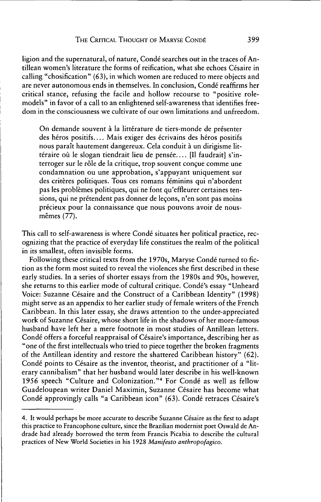ligion and the supernatural, of nature, Condé searches out in the traces of Antillean women's literature the forms of reification, what she echoes Césaire in calling "chosification" (63), in which women are reduced to mere objects and are never autonomous ends in themselves. In conclusion, Conde reaffirms her critical stance, refusing the facile and hollow recourse to "positive rolemodels" in favor of a call to an enlightened self-awareness that identifies freedom in the consciousness we cultivate of our own limitations and unfreedom.

On demande souvent à la littérature de tiers-monde de présenter des héros positifs.... Mais exiger des écrivains des héros positifs nous parait hautement dangereux. Cela conduit a un dirigisme littéraire où le slogan tiendrait lieu de pensée.... [Il faudrait] s'interroger sur le rôle de la critique, trop souvent concue comme une condamnation ou une approbation, s'appuyant uniquement sur des critères politiques. Tous ces romans féminins qui n'abordent pas les problemes politiques, qui ne font qu'effleurer certaines tensions, qui ne prétendent pas donner de leçons, n'en sont pas moins precieux pour la connaissance que nous pouvons avoir de nousmêmes (77).

This call to self-awareness is where Conde situates her political practice, recognizing that the practice of everyday life constitues the realm of the political in its smallest, often invisible forms.

Following these critical texts from the 1970s, Maryse Condé turned to fiction as the form most suited to reveal the violences she first described in these early studies. In a series of shorter essays from the 1980s and 90s, however, she returns to this earlier mode of cultural critique. Conde's essay "Unheard Voice: Suzanne Césaire and the Construct of a Caribbean Identity" (1998) might serve as an appendix to her earlier study of female writers of the French Caribbean. In this later essay, she draws attention to the under-appreciated work of Suzanne Césaire, whose short life in the shadows of her more-famous husband have left her a mere footnote in most studies of Antillean letters. Condé offers a forceful reappraisal of Césaire's importance, describing her as "one of the first intellectuals who tried to piece together the broken fragments of the Antillean identity and restore the shattered Caribbean history" (62). Condé points to Césaire as the inventor, theorist, and practitioner of a "literary cannibalism" that her husband would later describe in his well-known 1956 speech "Culture and Colonization."<sup>4</sup> For Condé as well as fellow Guadeloupean writer Daniel Maximin, Suzanne Césaire has become what Condé approvingly calls "a Caribbean icon" (63). Condé retraces Césaire's

<sup>4.</sup> It would perhaps be more accurate to describe Suzanne Césaire as the first to adapt this practice to Francophone culture, since the Brazilian modernist poet Oswald de Andrade had already borrowed the term from Francis Picabia to describe the cultural practices of New World Societies in his 1928 *Manifesto anthropofagico.*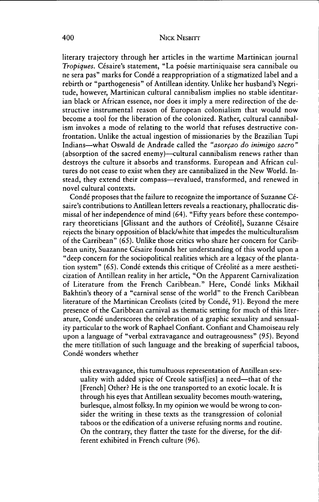literary trajectory through her articles in the wartime Martinican journal *Tropiques.* Césaire's statement, "La poésie martiniquaise sera cannibale ou ne sera pas" marks for Conde a reappropriation of a stigmatized label and a rebirth or "parthogenesis" of Antillean identity. Unlike her husband's Negritude, however, Martinican cultural cannibalism implies no stable identitarian black or African essence, nor does it imply a mere redirection of the destructive instrumental reason of European colonialism that would now become a tool for the liberation of the colonized. Rather, cultural cannibalism invokes a mode of relating to the world that refuses destructive confrontation. Unlike the actual ingestion of missionaries by the Brazilian Tupi Indians—what Oswald de Andrade called the "asorcao do *inimigo sacro*" (absorption of the sacred enemy)—cultural cannibalism renews rather than destroys the culture it absorbs and transforms. European and African cultures do not cease to exist when they are cannibalized in the New World. Instead, they extend their compass—revalued, transformed, and renewed in novel cultural contexts.

Condé proposes that the failure to recognize the importance of Suzanne Césaire's contributions to Antillean letters reveals a reactionary, phallocratic dismissal of her independence of mind (64). "Fifty years before these contemporary theoreticians [Glissant and the authors of Créolité], Suzanne Césaire rejects the binary opposition of black/white that impedes the multiculturalism of the Carribean" (65). Unlike those critics who share her concern for Caribbean unity, Suazanne Césaire founds her understanding of this world upon a "deep concern for the sociopolitical realities which are a legacy of the plantation system" (65). Condé extends this critique of Créolité as a mere aestheticization of Antillean reality in her article, "On the Apparent Carnivalization of Literature from the French Caribbean." Here, Conde links Mikhail Bakhtin's theory of a "carnival sense of the world" to the French Caribbean literature of the Martinican Creolists (cited by Conde, 91). Beyond the mere presence of the Caribbean carnival as thematic setting for much of this literature, Conde underscores the celebration of a graphic sexuality and sensuality particular to the work of Raphael Confiant. Confiant and Chamoiseau rely upon a language of "verbal extravagance and outrageousness" (95). Beyond the mere titillation of such language and the breaking of superficial taboos, Condé wonders whether

this extravagance, this tumultuous representation of Antillean sexuality with added spice of Creole satisf[ies] a need—that of the [French] Other? He is the one transported to an exotic locale. It is through his eyes that Antillean sexuality becomes mouth-watering, burlesque, almost folksy. In my opinion we would be wrong to consider the writing in these texts as the transgression of colonial taboos or the edification of a universe refusing norms and routine. On the contrary, they flatter the taste for the diverse, for the different exhibited in French culture (96).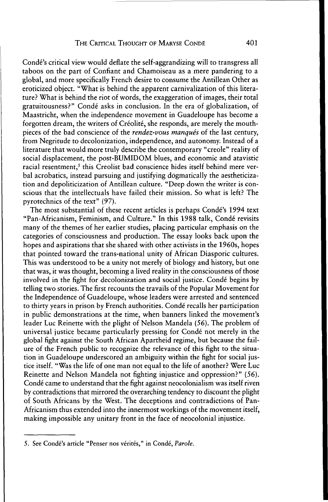Conde's critical view would deflate the self-aggrandizing will to transgress all taboos on the part of Confiant and Chamoiseau as a mere pandering to a global, and more specifically French desire to consume the Antillean Other as eroticized object. "What is behind the apparent carnivalization of this literature? What is behind the riot of words, the exaggeration of images, their total gratuitousness?" Conde asks in conclusion. In the era of globalization, of Maastricht, when the independence movement in Guadeloupe has become a forgotten dream, the writers of Créolité, she responds, are merely the mouthpieces of the bad conscience of the *rendez-vous manques* of the last century, from Negritude to decolonization, independence, and autonomy. Instead of a literature that would more truly describe the contemporary "creole" reality of social displacement, the post-BUMIDOM blues, and economic and atavistic racial resentment, $<sup>5</sup>$  this Creolist bad conscience hides itself behind mere ver-</sup> bal acrobatics, instead pursuing and justifying dogmatically the aestheticization and depoliticization of Antillean culture. "Deep down the writer is conscious that the intellectuals have failed their mission. So what is left? The pyrotechnics of the text" (97).

The most substantial of these recent articles is perhaps Conde's 1994 text "Pan-Africanism, Feminism, and Culture." In this 1988 talk, Conde revisits many of the themes of her earlier studies, placing particular emphasis on the categories of consciousness and production. The essay looks back upon the hopes and aspirations that she shared with other activists in the 1960s, hopes that pointed toward the trans-national unity of African Diasporic cultures. This was understood to be a unity not merely of biology and history, but one that was, it was thought, becoming a lived reality in the consciousness of those involved in the fight for decolonization and social justice. Conde begins by telling two stories. The first recounts the travails of the Popular Movement for the Independence of Guadeloupe, whose leaders were arrested and sentenced to thirty years in prison by French authorities. Conde recalls her participation in public demonstrations at the time, when banners linked the movement's leader Luc Reinette with the plight of Nelson Mandela (56). The problem of universal justice became particularly pressing for Conde not merely in the global fight against the South African Apartheid regime, but because the failure of the French public to recognize the relevance of this fight to the situation in Guadeloupe underscored an ambiguity within the fight for social justice itself. "Was the life of one man not equal to the life of another? Were Luc Reinette and Nelson Mandela not fighting injustice and oppression?" (56). Condé came to understand that the fight against neocolonialism was itself riven by contradictions that mirrored the overarching tendency to discount the plight of South Africans by the West. The deceptions and contradictions of Pan-Africanism thus extended into the innermost workings of the movement itself, making impossible any unitary front in the face of neocolonial injustice.

<sup>5.</sup> See Conde's article "Penser nos verites," in Conde, *Parole.*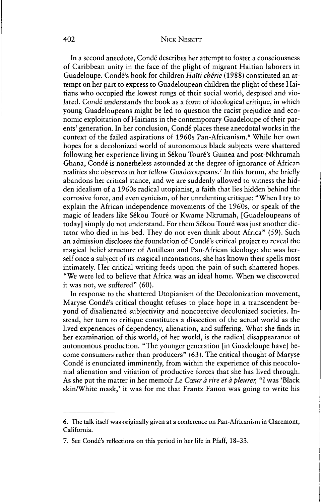#### 402 NICK NESBITT

In a second anecdote, Conde describes her attempt to foster a consciousness of Caribbean unity in the face of the phght of migrant Haitian laborers in Guadeloupe. Conde's book for children *Haiti cherie* (1988) constituted an attempt on her part to express to Guadeloupean children the plight of these Haitians who occupied the lowest rungs of their social world, despised and violated. Condé understands the book as a form of ideological critique, in which young Guadeloupeans might be led to question the racist prejudice and economic exploitation of Haitians in the contemporary Guadeloupe of their parents' generation. In her conclusion, Conde places these anecdotal works in the context of the failed aspirations of 1960s Pan-Africanism.<sup>6</sup> While her own hopes for a decolonized world of autonomous black subjects were shattered following her experience living in Sekou Toure's Guinea and post-Nkhrumah Ghana, Conde is nonetheless astounded at the degree of ignorance of African realities she observes in her fellow Guadeloupeans.<sup>7</sup> In this forum, she briefly abandons her critical stance, and we are suddenly allowed to witness the hidden idealism of a 1960s radical utopianist, a faith that lies hidden behind the corrosive force, and even cynicism, of her unrelenting critique: "When I try to explain the African independence movements of the 1960s, or speak of the magic of leaders like Sékou Touré or Kwame Nkrumah, [Guadeloupeans of today] simply do not understand. For them Sékou Touré was just another dictator who died in his bed. They do not even think about Africa" (59). Such an admission discloses the foundation of Conde's critical project to reveal the magical belief structure of Antillean and Pan-African ideology: she was herself once a subject of its magical incantations, she has known their spells most intimately. Her critical writing feeds upon the pain of such shattered hopes. "We were led to believe that Africa was an ideal home. When we discovered it was not, we suffered" (60).

In response to the shattered Utopianism of the Decolonization movement, Maryse Conde's critical thought refuses to place hope in a transcendent beyond of disahenated subjectivity and noncoercive decolonized societies. Instead, her turn to critique constitutes a dissection of the actual world as the lived experiences of dependency, alienation, and suffering. What she finds in her examination of this world, of her world, is the radical disappearance of autonomous production. "The younger generation [in Guadeloupe have] become consumers rather than producers" (63). The critical thought of Maryse Condé is enunciated imminently, from within the experience of this neocolonial alienation and vitiation of productive forces that she has lived through. As she put the matter in her memoir *Le Coeur a rire et a pleurer,* "I was 'Black skin/White mask,' it was for me that Frantz Fanon was going to write his

<sup>6.</sup> The talk itself was originally given at a conference on Pan-Africanism in Claremont, California.

<sup>7.</sup> See Conde's reflections on this period in her life in Pfaff, 18-33.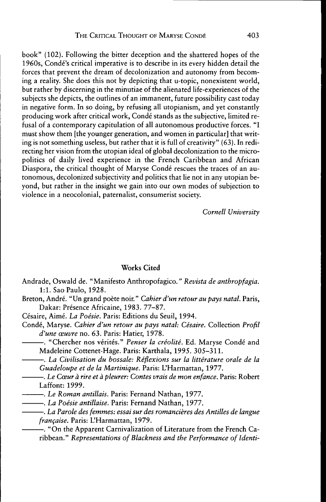book" (102). Following the bitter deception and the shattered hopes of the 1960s, Conde's critical imperative is to describe in its every hidden detail the forces that prevent the dream of decolonization and autonomy from becoming a reality. She does this not by depicting that u-topic, nonexistent world, but rather by discerning in the minutiae of the alienated life-experiences of the subjects she depicts, the outlines of an immanent, future possibility cast today in negative form. In so doing, by refusing all utopianism, and yet constantly producing work after critical work, Conde stands as the subjective, limited refusal of a contemporary capitulation of all autonomous productive forces. "I must show them [the younger generation, and women in particular] that writing is not something useless, but rather that it is full of creativity" (63). In redirecting her vision from the utopian ideal of global decolonization to the micropolitics of daily lived experience in the French Caribbean and African Diaspora, the critical thought of Maryse Conde rescues the traces of an autonomous, decolonized subjectivity and politics that lie not in any utopian beyond, but rather in the insight we gain into our own modes of subjection to violence in a neocolonial, paternalist, consumerist society.

*Cornell University*

### **Works Cited**

- Andrade, Oswald de. "Manifesto Anthropofagico." *Revista de anthropfagia.* 1:1. Sao Paulo, 1928.
- Breton, André. "Un grand poète noir." Cahier d'un retour au pays natal. Paris, Dakar: Présence Africaine, 1983. 77-87.
- Cesaire, Aime. *La Poesie.* Paris: Editions du Seuil, 1994.
- Conde, Maryse. *Cahier d'un retour au pays natal: Cesaire.* Collection *Profil d'une ceuvre* no. 63. Paris: Hatier, 1978.
	- . "Chercher nos verites." *Penser la creolite.* Ed. Maryse Conde and Madeleine Cottenet-Hage. Paris: Karthala, 1995. 305-311.
	- . *La Civilisation du bossale: Reflexions sur la litterature orale de la Guadeloupe et de la Martinique.* Paris: L'Harmattan, 1977.
- . *Le Coeur a rire et a pleurer: Contes vrais de mon enfance.* Paris: Robert Laffont: 1999.
- . *Le Roman antillais.* Paris: Fernand Nathan, 1977.
- . *La Poesie antillaise.* Paris: Fernand Nathan, 1977.
	- . *La Parole des femmes: essai sur des romanderes des Antilles de langue frangaise.* Paris: L'Harmattan, 1979.
		- . "On the Apparent Carnivalization of Literature from the French Caribbean." *Representations of Blackness and the Performance of Identi-*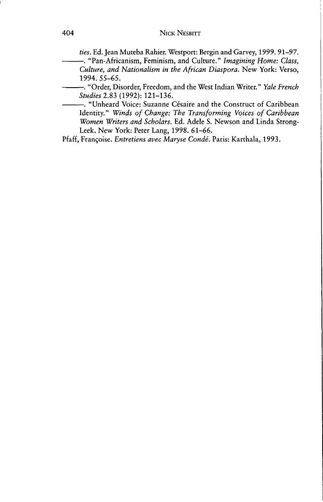*ties.* Ed. Jean Muteba Rahier. Westport: Bergin and Garvey, 1999. 91-97. . "Pan-Africanism, Feminism, and Culture." *Imagining Home: Class, Culture, and Nationalism in the African Diaspora.* New York: Verso, 1994.55-65.

. "Order, Disorder, Freedom, and the West Indian Writer." *Yale French Studies 2.83* (1992): 121-136.

-. "Unheard Voice: Suzanne Césaire and the Construct of Caribbean Identity." *Winds of Change: The Transforming Voices of Caribbean Women Writers and Scholars.* Ed. Adele S. Newson and Linda Strong-Leek. New York: Peter Lang, 1998. 61-66.

Pfaff, Fran^oise. *Entretiens avec Maryse Conde.* Paris: Karthala, *1993.*